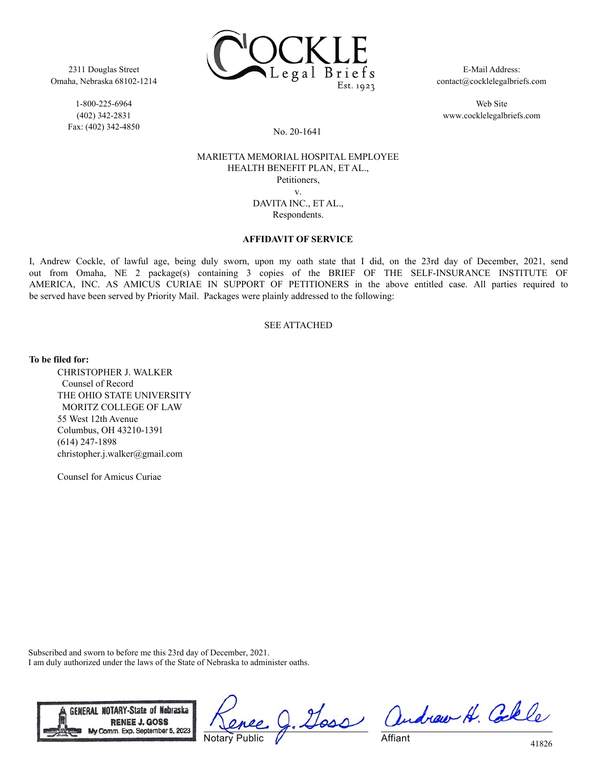

1-800-225-6964 (402) 342-2831 Fax: (402) 342-4850



E-Mail Address: contact@cocklelegalbriefs.com

Web Site www.cocklelegalbriefs.com

#### No. 20-1641

## MARIETTA MEMORIAL HOSPITAL EMPLOYEE HEALTH BENEFIT PLAN, ET AL., Petitioners, v. DAVITA INC., ET AL., Respondents.

#### **AFFIDAVIT OF SERVICE**

I, Andrew Cockle, of lawful age, being duly sworn, upon my oath state that I did, on the 23rd day of December, 2021, send out from Omaha, NE 2 package(s) containing 3 copies of the BRIEF OF THE SELF-INSURANCE INSTITUTE OF AMERICA, INC. AS AMICUS CURIAE IN SUPPORT OF PETITIONERS in the above entitled case. All parties required to be served have been served by Priority Mail. Packages were plainly addressed to the following:

## SEE ATTACHED

**To be filed for:**

CHRISTOPHER J. WALKER Counsel of Record THE OHIO STATE UNIVERSITY MORITZ COLLEGE OF LAW 55 West 12th Avenue Columbus, OH 43210-1391 (614) 247-1898 christopher.j.walker@gmail.com

Counsel for Amicus Curiae

Subscribed and sworn to before me this 23rd day of December, 2021. I am duly authorized under the laws of the State of Nebraska to administer oaths.



Doss Notary Public

andrew H. Colle